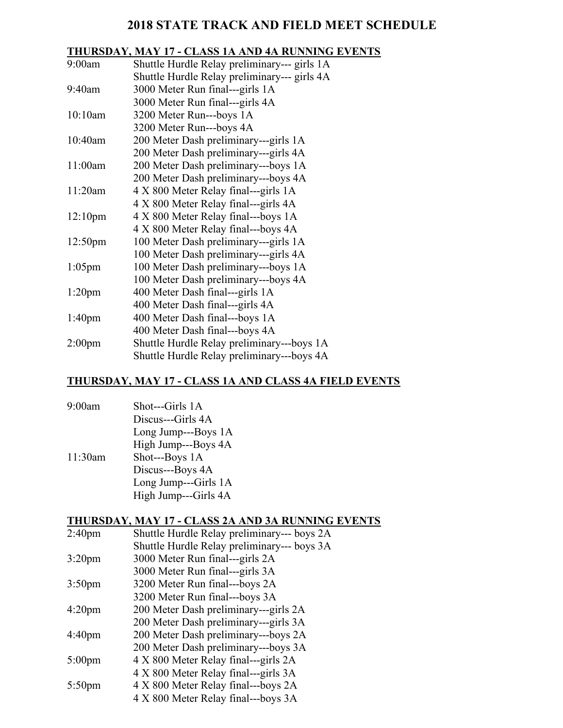## **2018 STATE TRACK AND FIELD MEET SCHEDULE**

## **THURSDAY, MAY 17 - CLASS 1A AND 4A RUNNING EVENTS**

| 9:00am              | Shuttle Hurdle Relay preliminary--- girls 1A |
|---------------------|----------------------------------------------|
|                     | Shuttle Hurdle Relay preliminary--- girls 4A |
| 9:40am              | 3000 Meter Run final---girls 1A              |
|                     | 3000 Meter Run final---girls 4A              |
| 10:10am             | 3200 Meter Run---boys 1A                     |
|                     | 3200 Meter Run---boys 4A                     |
| 10:40am             | 200 Meter Dash preliminary---girls 1A        |
|                     | 200 Meter Dash preliminary---girls 4A        |
| 11:00am             | 200 Meter Dash preliminary---boys 1A         |
|                     | 200 Meter Dash preliminary---boys 4A         |
| 11:20am             | 4 X 800 Meter Relay final---girls 1A         |
|                     | 4 X 800 Meter Relay final---girls 4A         |
| 12:10 <sub>pm</sub> | 4 X 800 Meter Relay final---boys 1A          |
|                     | 4 X 800 Meter Relay final---boys 4A          |
| 12:50 <sub>pm</sub> | 100 Meter Dash preliminary---girls 1A        |
|                     | 100 Meter Dash preliminary---girls 4A        |
| $1:05$ pm           | 100 Meter Dash preliminary---boys 1A         |
|                     | 100 Meter Dash preliminary---boys 4A         |
| $1:20$ pm           | 400 Meter Dash final---girls 1A              |
|                     | 400 Meter Dash final---girls 4A              |
| 1:40 <sub>pm</sub>  | 400 Meter Dash final---boys 1A               |
|                     | 400 Meter Dash final---boys 4A               |
| 2:00 <sub>pm</sub>  | Shuttle Hurdle Relay preliminary---boys 1A   |
|                     | Shuttle Hurdle Relay preliminary---boys 4A   |

## **THURSDAY, MAY 17 - CLASS 1A AND CLASS 4A FIELD EVENTS**

| 9:00am  | Shot---Girls 1A      |
|---------|----------------------|
|         | Discus---Girls 4A    |
|         | Long Jump---Boys 1A  |
|         | High Jump---Boys 4A  |
| 11:30am | Shot---Boys 1A       |
|         | Discus---Boys 4A     |
|         | Long Jump---Girls 1A |
|         | High Jump---Girls 4A |

## **THURSDAY, MAY 17 - CLASS 2A AND 3A RUNNING EVENTS**

- 2:40pm Shuttle Hurdle Relay preliminary--- boys 2A Shuttle Hurdle Relay preliminary--- boys 3A
- 3:20pm 3000 Meter Run final---girls 2A
- 3000 Meter Run final---girls 3A 3:50pm 3200 Meter Run final---boys 2A
- 3200 Meter Run final---boys 3A
- 4:20pm 200 Meter Dash preliminary---girls 2A
- 200 Meter Dash preliminary---girls 3A
- 4:40pm 200 Meter Dash preliminary---boys 2A
- 200 Meter Dash preliminary---boys 3A
- 5:00pm 4 X 800 Meter Relay final---girls 2A 4 X 800 Meter Relay final---girls 3A
- 5:50pm 4 X 800 Meter Relay final---boys 2A
	- 4 X 800 Meter Relay final---boys 3A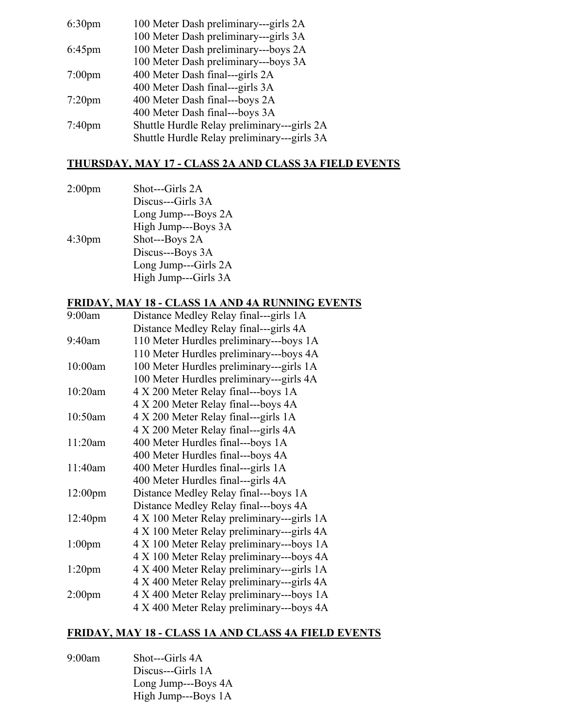| 6:30 <sub>pm</sub> | 100 Meter Dash preliminary---girls 2A       |
|--------------------|---------------------------------------------|
|                    | 100 Meter Dash preliminary---girls 3A       |
| $6:45$ pm          | 100 Meter Dash preliminary---boys 2A        |
|                    | 100 Meter Dash preliminary---boys 3A        |
| $7:00$ pm          | 400 Meter Dash final---girls 2A             |
|                    | 400 Meter Dash final---girls 3A             |
| $7:20$ pm          | 400 Meter Dash final---boys 2A              |
|                    | 400 Meter Dash final---boys 3A              |
| $7:40$ pm          | Shuttle Hurdle Relay preliminary---girls 2A |
|                    | Shuttle Hurdle Relay preliminary---girls 3A |
|                    |                                             |

# **THURSDAY, MAY 17 - CLASS 2A AND CLASS 3A FIELD EVENTS**

2:00pm Shot---Girls 2A Discus---Girls 3A Long Jump---Boys 2A High Jump---Boys 3A 4:30pm Shot---Boys 2A Discus---Boys 3A Long Jump---Girls 2A High Jump---Girls 3A

## **FRIDAY, MAY 18 - CLASS 1A AND 4A RUNNING EVENTS**

| 9:00am              | Distance Medley Relay final---girls 1A     |
|---------------------|--------------------------------------------|
|                     | Distance Medley Relay final---girls 4A     |
| 9:40am              | 110 Meter Hurdles preliminary---boys 1A    |
|                     | 110 Meter Hurdles preliminary---boys 4A    |
| 10:00am             | 100 Meter Hurdles preliminary---girls 1A   |
|                     | 100 Meter Hurdles preliminary---girls 4A   |
| 10:20am             | 4 X 200 Meter Relay final---boys 1A        |
|                     | 4 X 200 Meter Relay final---boys 4A        |
| 10:50am             | 4 X 200 Meter Relay final---girls 1A       |
|                     | 4 X 200 Meter Relay final—girls 4A         |
| 11:20am             | 400 Meter Hurdles final---boys 1A          |
|                     | 400 Meter Hurdles final---boys 4A          |
| 11:40am             | 400 Meter Hurdles final---girls 1A         |
|                     | 400 Meter Hurdles final---girls 4A         |
| 12:00 <sub>pm</sub> | Distance Medley Relay final---boys 1A      |
|                     | Distance Medley Relay final---boys 4A      |
| 12:40 <sub>pm</sub> | 4 X 100 Meter Relay preliminary---girls 1A |
|                     | 4 X 100 Meter Relay preliminary---girls 4A |
| $1:00$ pm           | 4 X 100 Meter Relay preliminary---boys 1A  |
|                     | 4 X 100 Meter Relay preliminary---boys 4A  |
| $1:20$ pm           | 4 X 400 Meter Relay preliminary---girls 1A |
|                     | 4 X 400 Meter Relay preliminary---girls 4A |
| 2:00 <sub>pm</sub>  | 4 X 400 Meter Relay preliminary---boys 1A  |
|                     | 4 X 400 Meter Relay preliminary---boys 4A  |

## **FRIDAY, MAY 18 - CLASS 1A AND CLASS 4A FIELD EVENTS**

| 9:00am | Shot---Girls 4A     |
|--------|---------------------|
|        | Discus---Girls 1A   |
|        | Long Jump---Boys 4A |
|        | High Jump---Boys 1A |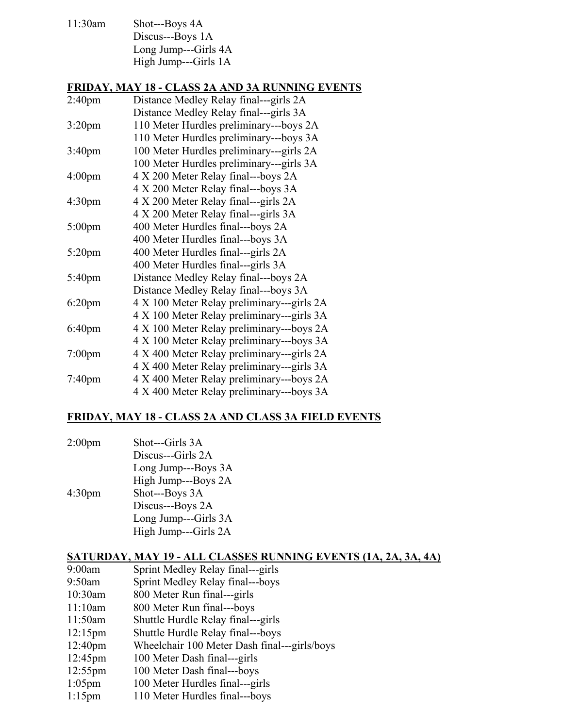11:30am Shot---Boys 4A Discus---Boys 1A Long Jump---Girls 4A High Jump---Girls 1A

#### **FRIDAY, MAY 18 - CLASS 2A AND 3A RUNNING EVENTS**

| 2:40 <sub>pm</sub> | Distance Medley Relay final—-girls 2A      |
|--------------------|--------------------------------------------|
|                    | Distance Medley Relay final---girls 3A     |
| $3:20$ pm          | 110 Meter Hurdles preliminary---boys 2A    |
|                    | 110 Meter Hurdles preliminary---boys 3A    |
| $3:40$ pm          | 100 Meter Hurdles preliminary---girls 2A   |
|                    | 100 Meter Hurdles preliminary---girls 3A   |
| 4:00 <sub>pm</sub> | 4 X 200 Meter Relay final---boys 2A        |
|                    | 4 X 200 Meter Relay final---boys 3A        |
| 4:30 <sub>pm</sub> | 4 X 200 Meter Relay final---girls 2A       |
|                    | 4 X 200 Meter Relay final---girls 3A       |
| $5:00$ pm          | 400 Meter Hurdles final---boys 2A          |
|                    | 400 Meter Hurdles final---boys 3A          |
| $5:20$ pm          | 400 Meter Hurdles final---girls 2A         |
|                    | 400 Meter Hurdles final---girls 3A         |
| $5:40$ pm          | Distance Medley Relay final---boys 2A      |
|                    | Distance Medley Relay final---boys 3A      |
| $6:20$ pm          | 4 X 100 Meter Relay preliminary---girls 2A |
|                    | 4 X 100 Meter Relay preliminary---girls 3A |
| 6:40pm             | 4 X 100 Meter Relay preliminary---boys 2A  |
|                    | 4 X 100 Meter Relay preliminary---boys 3A  |
| $7:00$ pm          | 4 X 400 Meter Relay preliminary---girls 2A |
|                    | 4 X 400 Meter Relay preliminary---girls 3A |
| $7:40$ pm          | 4 X 400 Meter Relay preliminary---boys 2A  |
|                    | 4 X 400 Meter Relay preliminary---boys 3A  |

# **FRIDAY, MAY 18 - CLASS 2A AND CLASS 3A FIELD EVENTS**

| Shot---Girls 3A      |
|----------------------|
| Discus---Girls 2A    |
| Long Jump---Boys 3A  |
| High Jump---Boys 2A  |
| Shot---Boys 3A       |
| Discus---Boys 2A     |
| Long Jump---Girls 3A |
| High Jump---Girls 2A |
|                      |

# **SATURDAY, MAY 19 - ALL CLASSES RUNNING EVENTS (1A, 2A, 3A, 4A)**

- 9:00am Sprint Medley Relay final---girls
- 9:50am Sprint Medley Relay final---boys
- 10:30am 800 Meter Run final---girls
- 11:10am 800 Meter Run final---boys
- 11:50am Shuttle Hurdle Relay final---girls
- 12:15pm Shuttle Hurdle Relay final---boys
- 12:40pm Wheelchair 100 Meter Dash final---girls/boys
- 12:45pm 100 Meter Dash final---girls
- 12:55pm 100 Meter Dash final---boys
- 1:05pm 100 Meter Hurdles final---girls
- 1:15pm 110 Meter Hurdles final---boys